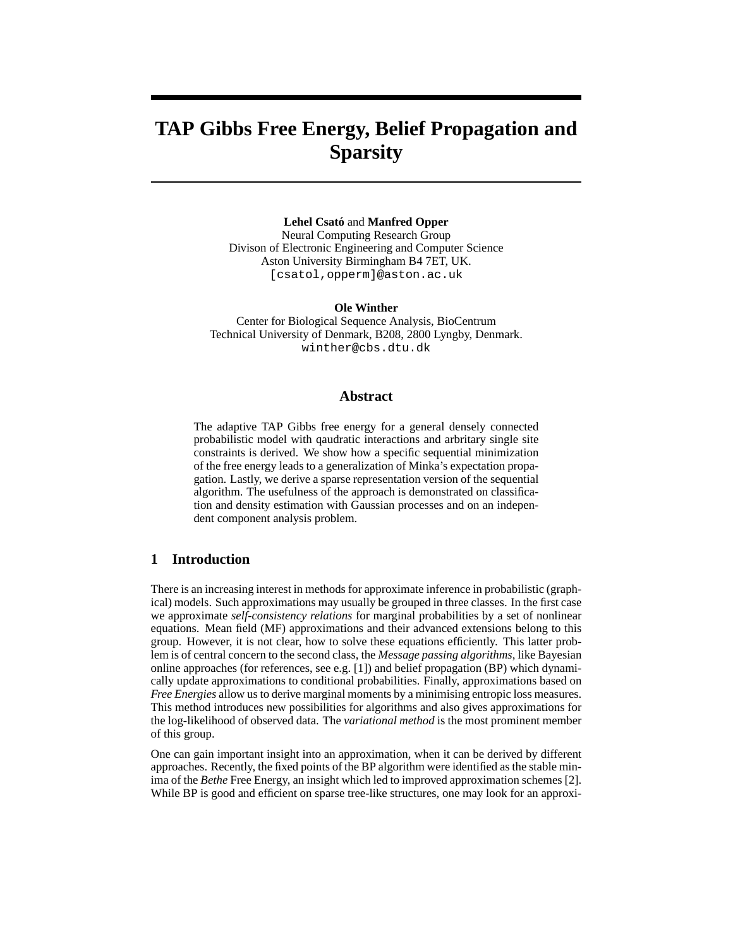# **TAP Gibbs Free Energy, Belief Propagation and Sparsity**

**Lehel Csato´** and **Manfred Opper** Neural Computing Research Group Divison of Electronic Engineering and Computer Science Aston University Birmingham B4 7ET, UK. [csatol,opperm]@aston.ac.uk

**Ole Winther** Center for Biological Sequence Analysis, BioCentrum Technical University of Denmark, B208, 2800 Lyngby, Denmark. winther@cbs.dtu.dk

# **Abstract**

The adaptive TAP Gibbs free energy for a general densely connected probabilistic model with qaudratic interactions and arbritary single site constraints is derived. We show how a specific sequential minimization of the free energy leads to a generalization of Minka's expectation propagation. Lastly, we derive a sparse representation version of the sequential algorithm. The usefulness of the approach is demonstrated on classification and density estimation with Gaussian processes and on an independent component analysis problem.

# **1 Introduction**

There is an increasing interest in methods for approximate inference in probabilistic (graphical) models. Such approximations may usually be grouped in three classes. In the first case we approximate *self-consistency relations* for marginal probabilities by a set of nonlinear equations. Mean field (MF) approximations and their advanced extensions belong to this group. However, it is not clear, how to solve these equations efficiently. This latter problem is of central concern to the second class, the *Message passing algorithms*, like Bayesian online approaches (for references, see e.g. [1]) and belief propagation (BP) which dynamically update approximations to conditional probabilities. Finally, approximations based on *Free Energies* allow us to derive marginal moments by a minimising entropic loss measures. This method introduces new possibilities for algorithms and also gives approximations for the log-likelihood of observed data. The *variational method* is the most prominent member of this group.

One can gain important insight into an approximation, when it can be derived by different approaches. Recently, the fixed points of the BP algorithm were identified as the stable minima of the *Bethe* Free Energy, an insight which led to improved approximation schemes [2]. While BP is good and efficient on sparse tree-like structures, one may look for an approxi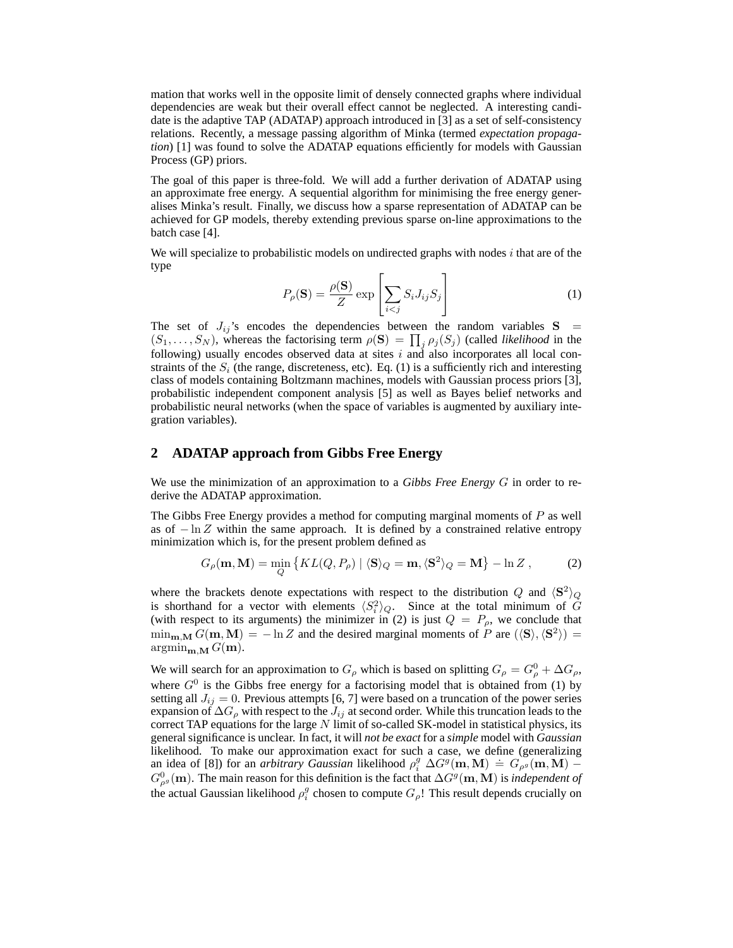mation that works well in the opposite limit of densely connected graphs where individual dependencies are weak but their overall effect cannot be neglected. A interesting candidate is the adaptive TAP (ADATAP) approach introduced in [3] as a set of self-consistency relations. Recently, a message passing algorithm of Minka (termed *expectation propagation*) [1] was found to solve the ADATAP equations efficiently for models with Gaussian Process (GP) priors.

The goal of this paper is three-fold. We will add a further derivation of ADATAP using an approximate free energy. A sequential algorithm for minimising the free energy generalises Minka's result. Finally, we discuss how a sparse representation of ADATAP can be achieved for GP models, thereby extending previous sparse on-line approximations to the batch case [4].

We will specialize to probabilistic models on undirected graphs with nodes  $i$  that are of the type

$$
P_{\rho}(\mathbf{S}) = \frac{\rho(\mathbf{S})}{Z} \exp\left[\sum_{i < j} S_i J_{ij} S_j\right] \tag{1}
$$

The set of  $J_{ij}$ 's encodes the dependencies between the random variables  $S =$  $(S_1, \ldots, S_N)$ , whereas the factorising term  $\rho(S) = \prod_j \rho_j(S_j)$  (called *likelihood* in the following) usually encodes observed data at sites  $i$  and also incorporates all local constraints of the  $S_i$  (the range, discreteness, etc). Eq. (1) is a sufficiently rich and interesting class of models containing Boltzmann machines, models with Gaussian process priors [3], probabilistic independent component analysis [5] as well as Bayes belief networks and probabilistic neural networks (when the space of variables is augmented by auxiliary integration variables).

# **2 ADATAP approach from Gibbs Free Energy**

We use the minimization of an approximation to a *Gibbs Free Energy* G in order to rederive the ADATAP approximation.

The Gibbs Free Energy provides a method for computing marginal moments of  $P$  as well as of  $-\ln Z$  within the same approach. It is defined by a constrained relative entropy minimization which is, for the present problem defined as

$$
G_{\rho}(\mathbf{m}, \mathbf{M}) = \min_{Q} \{ KL(Q, P_{\rho}) \mid \langle \mathbf{S} \rangle_{Q} = \mathbf{m}, \langle \mathbf{S}^{2} \rangle_{Q} = \mathbf{M} \} - \ln Z , \tag{2}
$$

where the brackets denote expectations with respect to the distribution Q and  $\langle S^2 \rangle_Q$ is shorthand for a vector with elements  $\langle S_i^2 \rangle_Q$ . Since at the total minimum of G (with respect to its arguments) the minimizer in (2) is just  $Q = P_{\rho}$ , we conclude that  $\min_{\mathbf{m},\mathbf{M}} G(\mathbf{m},\mathbf{M}) = -\ln Z$  and the desired marginal moments of P are  $(\langle \mathbf{S} \rangle,\langle \mathbf{S}^2 \rangle) =$  $\operatorname{argmin}_{\mathbf{m},\mathbf{M}} G(\mathbf{m}).$ 

We will search for an approximation to  $G_{\rho}$  which is based on splitting  $G_{\rho} = G_{\rho}^0 + \Delta G_{\rho}$ , where  $G<sup>0</sup>$  is the Gibbs free energy for a factorising model that is obtained from (1) by setting all  $J_{ij} = 0$ . Previous attempts [6, 7] were based on a truncation of the power series expansion of  $\Delta G_{\rho}$  with respect to the  $J_{ij}$  at second order. While this truncation leads to the correct TAP equations for the large  $N$  limit of so-called SK-model in statistical physics, its general significance is unclear. In fact, it will *not be exact* for a *simple* model with *Gaussian* likelihood. To make our approximation exact for such a case, we define (generalizing an idea of [8]) for an *arbitrary Gaussian* likelihood  $\rho_i^g \Delta G^g(\mathbf{m}, \mathbf{M}) = G_{\rho^g}(\mathbf{m}, \mathbf{M}) G_{\rho^g}^0(\mathbf{m})$ . The main reason for this definition is the fact that  $\Delta G^g(\mathbf{m}, \mathbf{M})$  is *independent of* the actual Gaussian likelihood  $\rho_i^g$  chosen to compute  $G_\rho!$  This result depends crucially on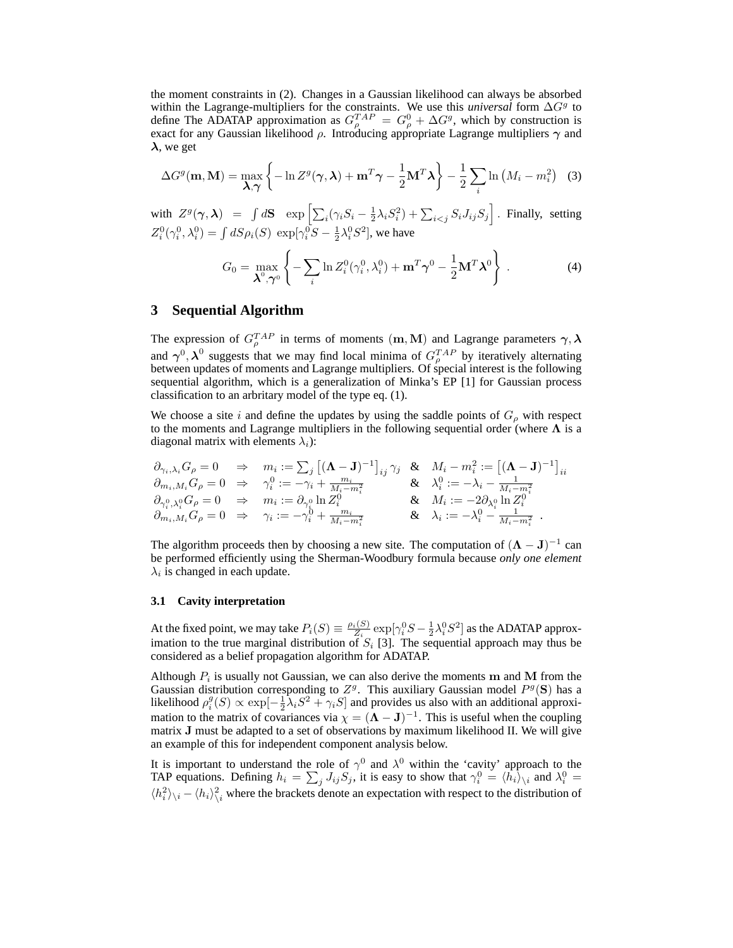the moment constraints in (2). Changes in a Gaussian likelihood can always be absorbed within the Lagrange-multipliers for the constraints. We use this *universal* form  $\Delta G^g$  to define The ADATAP approximation as  $G_{\rho}^{TAP} = G_{\rho}^{0} + \Delta G^{g}$ , which by construction is exact for any Gaussian likelihood  $\rho$ . Introducing appropriate Lagrange multipliers  $\gamma$  and  $\lambda$ , we get

$$
\Delta G^{g}(\mathbf{m}, \mathbf{M}) = \max_{\mathbf{\lambda}, \boldsymbol{\gamma}} \left\{ -\ln Z^{g}(\boldsymbol{\gamma}, \boldsymbol{\lambda}) + \mathbf{m}^{T} \boldsymbol{\gamma} - \frac{1}{2} \mathbf{M}^{T} \boldsymbol{\lambda} \right\} - \frac{1}{2} \sum_{i} \ln \left( M_{i} - m_{i}^{2} \right) \tag{3}
$$

with  $Z^g(\gamma,\boldsymbol{\lambda}) = \int d\mathbf{S} \; \; \exp \left[ \sum_i (\gamma_i S_i - \frac{1}{2} \lambda_i S_i^2) + \sum_{i < j} S_i J_{ij} S_j \right]$ . Finally, setting  $Z_i^0(\gamma_i^0, \lambda_i^0) = \int dS \rho_i(S) \exp[\gamma_i^0 S - \frac{1}{2}\lambda_i^0 S^2]$ , we have

$$
G_0 = \max_{\boldsymbol{\lambda}^0, \boldsymbol{\gamma}^0} \left\{ -\sum_i \ln Z_i^0(\gamma_i^0, \lambda_i^0) + \mathbf{m}^T \boldsymbol{\gamma}^0 - \frac{1}{2} \mathbf{M}^T \boldsymbol{\lambda}^0 \right\} .
$$
 (4)

# **3 Sequential Algorithm**

The expression of  $G_{\rho}^{TAP}$  in terms of moments  $({\bf m},{\bf M})$  and Lagrange parameters  $\gamma,\lambda$ and  $\gamma^0$ ,  $\lambda^0$  suggests that we may find local minima of  $G_{\rho}^{TAP}$  by iteratively alternating between updates of moments and Lagrange multipliers. Of special interest is the following sequential algorithm, which is a generalization of Minka's EP [1] for Gaussian process classification to an arbritary model of the type eq. (1).

We choose a site i and define the updates by using the saddle points of  $G_{\rho}$  with respect to the moments and Lagrange multipliers in the following sequential order (where  $\Lambda$  is a diagonal matrix with elements  $\lambda_i$ ):

$$
\begin{array}{llllll} \partial_{\gamma_i,\lambda_i}G_{\rho}=0 & \Rightarrow & m_i:=\sum_j\left[(\mathbf{\Lambda}-\mathbf{J})^{-1}\right]_{ij}\gamma_j & \& \quad M_i-m_i^2:=\left[(\mathbf{\Lambda}-\mathbf{J})^{-1}\right]_{ii}\\ \partial_{m_i,M_i}G_{\rho}=0 & \Rightarrow & \gamma_i^0:=-\gamma_i+\frac{m_i}{M_i-m_i^2} & \& \quad \lambda_i^0:=-\lambda_i-\frac{1}{M_i-m_i^2}\\ \partial_{\gamma_i^0,\lambda_i^0}G_{\rho}=0 & \Rightarrow & m_i:=\partial_{\gamma_i^0}\ln Z_i^0 & \& \quad M_i:=-2\partial_{\lambda_i^0}\ln Z_i^0\\ \partial_{m_i,M_i}G_{\rho}=0 & \Rightarrow & \gamma_i:=-\gamma_i^0+\frac{m_i}{M_i-m_i^2} & \& \quad \lambda_i:=-\lambda_i^0-\frac{1}{M_i-m_i^2} \end{array}.
$$

The algorithm proceeds then by choosing a new site. The computation of  $(**\Lambda** - **J**)^{-1}$  can be performed efficiently using the Sherman-Woodbury formula because *only one element*  $\lambda_i$  is changed in each update.

#### **3.1 Cavity interpretation**

At the fixed point, we may take  $P_i(S) \equiv \frac{\rho_i(S)}{Z_i}$  $\frac{i(S)}{Z_i}$  exp $[\gamma_i^0 S - \frac{1}{2} \lambda_i^0 S^2]$  as the ADATAP approximation to the true marginal distribution of  $S_i$  [3]. The sequential approach may thus be considered as a belief propagation algorithm for ADATAP.

Although  $P_i$  is usually not Gaussian, we can also derive the moments m and M from the Gaussian distribution corresponding to  $Z^g$ . This auxiliary Gaussian model  $P^g(S)$  has a likelihood  $\rho_i^g(S) \propto \exp[-\frac{1}{2}\lambda_i S^2 + \gamma_i S]$  and provides us also with an additional approximation to the matrix of covariances via  $\chi = (\mathbf{\Lambda} - \mathbf{J})^{-1}$ . This is useful when the coupling matrix J must be adapted to a set of observations by maximum likelihood II. We will give an example of this for independent component analysis below.

It is important to understand the role of  $\gamma^0$  and  $\lambda^0$  within the 'cavity' approach to the TAP equations. Defining  $h_i = \sum_j J_{ij} S_j$ , it is easy to show that  $\gamma_i^0 = \langle h_i \rangle_{\setminus i}$  and  $\lambda_i^0 =$  $\langle h_i^2 \rangle_{\setminus i} - \langle h_i \rangle_{\setminus i}^2$  where the brackets denote an expectation with respect to the distribution of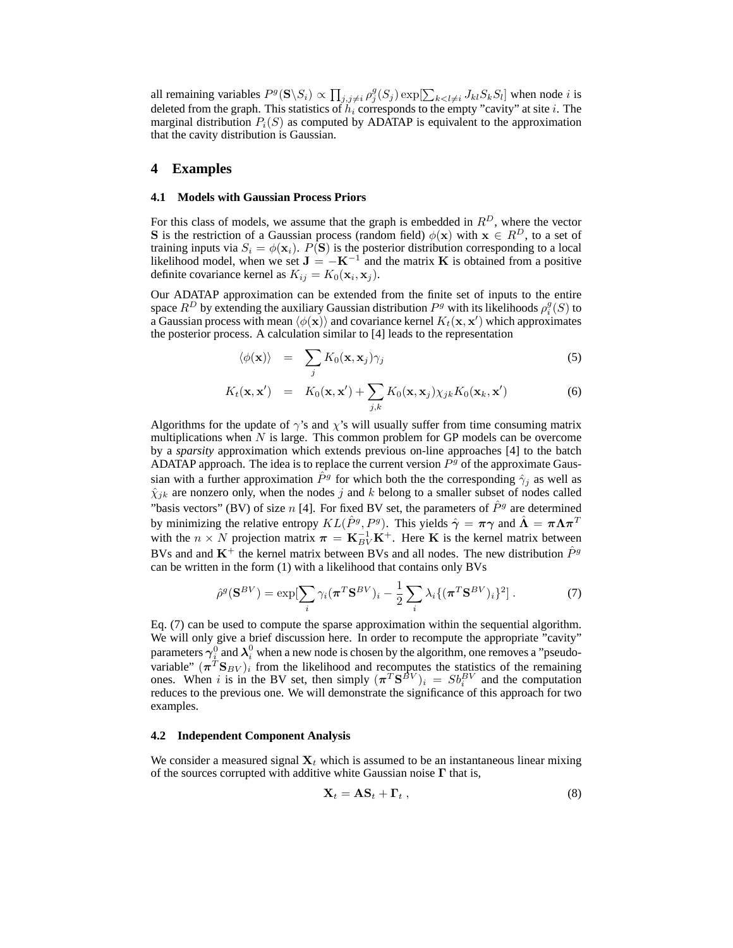all remaining variables  $P^g(S \setminus S_i) \propto \prod_{j,j \neq i} \rho_j^g(S_j) \exp[\sum_{k < l \neq i} J_{kl} S_k S_l]$  when node i is deleted from the graph. This statistics of  $\tilde{h}_i$  corresponds to the empty "cavity" at site i. The marginal distribution  $P_i(S)$  as computed by ADATAP is equivalent to the approximation that the cavity distribution is Gaussian.

# **4 Examples**

#### **4.1 Models with Gaussian Process Priors**

For this class of models, we assume that the graph is embedded in  $R<sup>D</sup>$ , where the vector S is the restriction of a Gaussian process (random field)  $\phi(\mathbf{x})$  with  $\mathbf{x} \in R^D$ , to a set of training inputs via  $S_i = \phi(\mathbf{x}_i)$ .  $P(\mathbf{S})$  is the posterior distribution corresponding to a local likelihood model, when we set  $J = -K^{-1}$  and the matrix K is obtained from a positive definite covariance kernel as  $K_{ij} = K_0(\mathbf{x}_i, \mathbf{x}_j)$ .

Our ADATAP approximation can be extended from the finite set of inputs to the entire space  $R^D$  by extending the auxiliary Gaussian distribution  $P^g$  with its likelihoods  $\rho_i^g(S)$  to a Gaussian process with mean  $\langle \phi(\mathbf{x}) \rangle$  and covariance kernel  $K_t(\mathbf{x}, \mathbf{x}')$  which approximates the posterior process. A calculation similar to [4] leads to the representation

$$
\langle \phi(\mathbf{x}) \rangle = \sum_j K_0(\mathbf{x}, \mathbf{x}_j) \gamma_j \tag{5}
$$

$$
K_t(\mathbf{x}, \mathbf{x}') = K_0(\mathbf{x}, \mathbf{x}') + \sum_{j,k} K_0(\mathbf{x}, \mathbf{x}_j) \chi_{jk} K_0(\mathbf{x}_k, \mathbf{x}') \tag{6}
$$

Algorithms for the update of  $\gamma$ 's and  $\chi$ 's will usually suffer from time consuming matrix multiplications when  $N$  is large. This common problem for GP models can be overcome by a *sparsity* approximation which extends previous on-line approaches [4] to the batch ADATAP approach. The idea is to replace the current version  $P<sup>g</sup>$  of the approximate Gaussian with a further approximation  $\hat{P}^g$  for which both the the corresponding  $\hat{\gamma}_j$  as well as  $\hat{\chi}_{jk}$  are nonzero only, when the nodes j and k belong to a smaller subset of nodes called "basis vectors" (BV) of size n [4]. For fixed BV set, the parameters of  $\hat{P}^g$  are determined by minimizing the relative entropy  $KL(\hat{P}^g, P^g)$ . This yields  $\hat{\gamma} = \pi \gamma$  and  $\hat{\Lambda} = \pi \Lambda \pi^T$ with the  $n \times N$  projection matrix  $\pi = \mathbf{K}_{BV}^{-1} \mathbf{K}^{+}$ . Here K is the kernel matrix between BVs and and  $K^+$  the kernel matrix between BVs and all nodes. The new distribution  $\hat{P}^g$ can be written in the form (1) with a likelihood that contains only BVs

$$
\hat{\rho}^g(\mathbf{S}^{BV}) = \exp[\sum_i \gamma_i (\boldsymbol{\pi}^T \mathbf{S}^{BV})_i - \frac{1}{2} \sum_i \lambda_i \{ (\boldsymbol{\pi}^T \mathbf{S}^{BV})_i \}^2].
$$
 (7)

Eq. (7) can be used to compute the sparse approximation within the sequential algorithm. We will only give a brief discussion here. In order to recompute the appropriate "cavity" parameters  $\gamma_i^0$  and  $\lambda_i^0$  when a new node is chosen by the algorithm, one removes a "pseudovariable"  $(\pi^T S_{BV})_i$  from the likelihood and recomputes the statistics of the remaining ones. When i is in the BV set, then simply  $(\pi^T S^{\beta V})_i = S b_i^{BV}$  and the computation reduces to the previous one. We will demonstrate the significance of this approach for two examples.

#### **4.2 Independent Component Analysis**

We consider a measured signal  $X_t$  which is assumed to be an instantaneous linear mixing of the sources corrupted with additive white Gaussian noise  $\Gamma$  that is,

$$
\mathbf{X}_t = \mathbf{A}\mathbf{S}_t + \mathbf{\Gamma}_t \,, \tag{8}
$$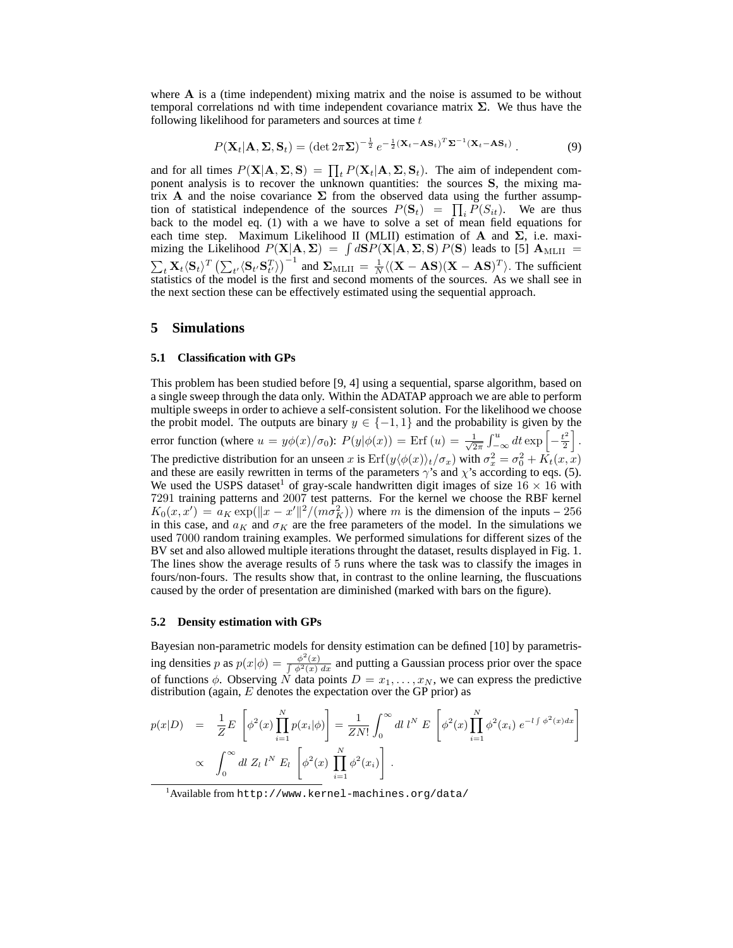where A is a (time independent) mixing matrix and the noise is assumed to be without temporal correlations nd with time independent covariance matrix  $\Sigma$ . We thus have the following likelihood for parameters and sources at time  $t$ 

> $P(\mathbf{X}_t | \mathbf{A}, \mathbf{\Sigma}, \mathbf{S}_t) = (\det 2\pi \mathbf{\Sigma})^{-\frac{1}{2}} e^{-\frac{1}{2} (\mathbf{X}_t - \mathbf{A} \mathbf{S}_t)^T \mathbf{\Sigma}^{-1} (\mathbf{X}_t - \mathbf{A} \mathbf{S}_t)}$ . (9)

and for all times  $P(X|A, \Sigma, S) = \prod_t P(X_t|A, \Sigma, S_t)$ . The aim of independent component analysis is to recover the unknown quantities: the sources S, the mixing matrix A and the noise covariance  $\Sigma$  from the observed data using the further assumption of statistical independence of the sources  $P(S_t) = \prod_i P(S_{it})$ . We are thus back to the model eq. (1) with a we have to solve a set of mean field equations for each time step. Maximum Likelihood II (MLII) estimation of A and  $\Sigma$ , i.e. maximizing the Likelihood  $P(X|A, \Sigma) = \int dS P(X|A, \Sigma, S) P(S)$  leads to [5]  $A_{\text{MLII}} =$  $\sum_{t} \mathbf{X}_{t} \langle \mathbf{S}_{t} \rangle^{T} \left( \sum_{t'} \langle \mathbf{S}_{t'} \mathbf{S}_{t'}^{T} \rangle \right)^{-1}$  and  $\sum_{\text{MLII}} = \frac{1}{N} \langle (\mathbf{X} - \mathbf{AS})(\mathbf{X} - \mathbf{AS})^{T} \rangle$ . The sufficient statistics of the model is the first and second moments of the sources. As we shall see in the next section these can be effectively estimated using the sequential approach.

# **5 Simulations**

#### **5.1 Classification with GPs**

This problem has been studied before [9, 4] using a sequential, sparse algorithm, based on a single sweep through the data only. Within the ADATAP approach we are able to perform multiple sweeps in order to achieve a self-consistent solution. For the likelihood we choose the probit model. The outputs are binary  $y \in \{-1, 1\}$  and the probability is given by the error function (where  $u = y\phi(x)/\sigma_0$ ):  $P(y|\phi(x)) =$  Erf  $(u) = \frac{1}{\sqrt{2}}$  $\frac{1}{2\pi} \int_{-\infty}^{u} dt \exp \left[-\frac{t^2}{2}\right]$  $\frac{t^2}{2}$ . The predictive distribution for an unseen x is  $Erf(y \langle \phi(x) \rangle_t / \sigma_x)$  with  $\sigma_x^2 = \sigma_0^2 + K_t(x, x)$ and these are easily rewritten in terms of the parameters  $\gamma$ 's and  $\chi$ 's according to eqs. (5). We used the USPS dataset<sup>1</sup> of gray-scale handwritten digit images of size  $16 \times 16$  with 7291 training patterns and 2007 test patterns. For the kernel we choose the RBF kernel  $K_0(x, x') = a_K \exp(||x - x'||^2 / (m \sigma_K^2))$  where m is the dimension of the inputs – 256 in this case, and  $a_K$  and  $\sigma_K$  are the free parameters of the model. In the simulations we used 7000 random training examples. We performed simulations for different sizes of the BV set and also allowed multiple iterations throught the dataset, results displayed in Fig. 1. The lines show the average results of 5 runs where the task was to classify the images in fours/non-fours. The results show that, in contrast to the online learning, the fluscuations caused by the order of presentation are diminished (marked with bars on the figure).

#### **5.2 Density estimation with GPs**

Bayesian non-parametric models for density estimation can be defined [10] by parametrising densities p as  $p(x|\phi) = \frac{\phi^2(x)}{\int \phi^2(x)}$  $\frac{\varphi(x)}{\int \varphi^2(x) dx}$  and putting a Gaussian process prior over the space of functions  $\phi$ . Observing N data points  $D = x_1, \dots, x_N$ , we can express the predictive distribution (again,  $E$  denotes the expectation over the GP prior) as

$$
p(x|D) = \frac{1}{Z} E \left[ \phi^2(x) \prod_{i=1}^N p(x_i | \phi) \right] = \frac{1}{ZN!} \int_0^\infty dl \ l^N E \left[ \phi^2(x) \prod_{i=1}^N \phi^2(x_i) e^{-l \int \phi^2(x) dx} \right]
$$
  
  $\propto \int_0^\infty dl \ Z_l \ l^N E_l \left[ \phi^2(x) \prod_{i=1}^N \phi^2(x_i) \right].$ 

<sup>1</sup>Available from http://www.kernel-machines.org/data/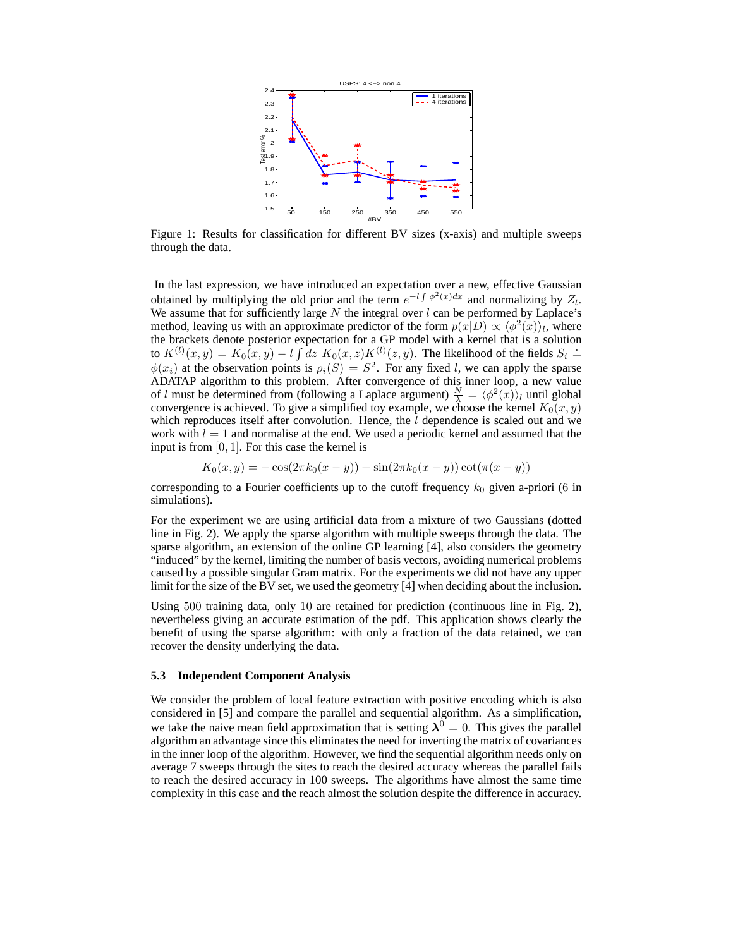

Figure 1: Results for classification for different BV sizes (x-axis) and multiple sweeps through the data.

In the last expression, we have introduced an expectation over a new, effective Gaussian obtained by multiplying the old prior and the term  $e^{-l\int \phi^2(x)dx}$  and normalizing by  $Z_l$ . We assume that for sufficiently large  $N$  the integral over  $l$  can be performed by Laplace's method, leaving us with an approximate predictor of the form  $p(x|D) \propto \langle \phi^2(x) \rangle_i$ , where the brackets denote posterior expectation for a GP model with a kernel that is a solution to  $K^{(l)}(x,y) = K_0(x,y) - l \int dz K_0(x,z) K^{(l)}(z,y)$ . The likelihood of the fields  $S_i \doteq$  $\phi(x_i)$  at the observation points is  $\rho_i(S) = S^2$ . For any fixed l, we can apply the sparse ADATAP algorithm to this problem. After convergence of this inner loop, a new value of l must be determined from (following a Laplace argument)  $\frac{N}{\lambda} = \langle \phi^2(x) \rangle_l$  until global convergence is achieved. To give a simplified toy example, we choose the kernel  $K_0(x, y)$ which reproduces itself after convolution. Hence, the  $l$  dependence is scaled out and we work with  $l = 1$  and normalise at the end. We used a periodic kernel and assumed that the input is from [0, 1]. For this case the kernel is

$$
K_0(x, y) = -\cos(2\pi k_0(x - y)) + \sin(2\pi k_0(x - y))\cot(\pi(x - y))
$$

corresponding to a Fourier coefficients up to the cutoff frequency  $k_0$  given a-priori (6 in simulations).

For the experiment we are using artificial data from a mixture of two Gaussians (dotted line in Fig. 2). We apply the sparse algorithm with multiple sweeps through the data. The sparse algorithm, an extension of the online GP learning [4], also considers the geometry "induced" by the kernel, limiting the number of basis vectors, avoiding numerical problems caused by a possible singular Gram matrix. For the experiments we did not have any upper limit for the size of the BV set, we used the geometry [4] when deciding about the inclusion.

Using 500 training data, only 10 are retained for prediction (continuous line in Fig. 2), nevertheless giving an accurate estimation of the pdf. This application shows clearly the benefit of using the sparse algorithm: with only a fraction of the data retained, we can recover the density underlying the data.

#### **5.3 Independent Component Analysis**

We consider the problem of local feature extraction with positive encoding which is also considered in [5] and compare the parallel and sequential algorithm. As a simplification, we take the naive mean field approximation that is setting  $\lambda^0 = 0$ . This gives the parallel algorithm an advantage since this eliminates the need for inverting the matrix of covariances in the inner loop of the algorithm. However, we find the sequential algorithm needs only on average 7 sweeps through the sites to reach the desired accuracy whereas the parallel fails to reach the desired accuracy in 100 sweeps. The algorithms have almost the same time complexity in this case and the reach almost the solution despite the difference in accuracy.